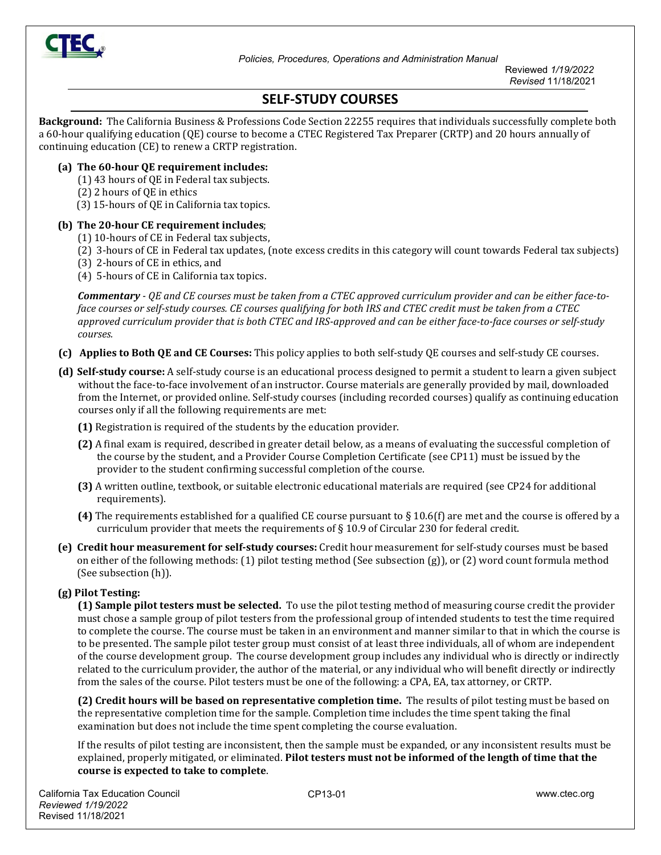

Reviewed *1/19/2022 Revised* 11/18/2021

# **SELF-STUDY COURSES**

**Background:** The California Business & Professions Code Section 22255 requires that individuals successfully complete both a 60-hour qualifying education (QE) course to become a CTEC Registered Tax Preparer (CRTP) and 20 hours annually of continuing education (CE) to renew a CRTP registration.

#### **(a) The 60-hour QE requirement includes:**

- (1) 43 hours of QE in Federal tax subjects.
- (2) 2 hours of QE in ethics
- (3) 15-hours of QE in California tax topics.

#### **(b) The 20-hour CE requirement includes**;

- (1) 10-hours of CE in Federal tax subjects,
- (2) 3-hours of CE in Federal tax updates, (note excess credits in this category will count towards Federal tax subjects)
- (3) 2-hours of CE in ethics, and
- (4) 5-hours of CE in California tax topics.

*Commentary - QE and CE courses must be taken from a CTEC approved curriculum provider and can be either face-toface courses or self-study courses. CE courses qualifying for both IRS and CTEC credit must be taken from a CTEC approved curriculum provider that is both CTEC and IRS-approved and can be either face-to-face courses or self-study courses.* 

- **(c) Applies to Both QE and CE Courses:** This policy applies to both self-study QE courses and self-study CE courses.
- **(d) Self-study course:** A self-study course is an educational process designed to permit a student to learn a given subject without the face-to-face involvement of an instructor. Course materials are generally provided by mail, downloaded from the Internet, or provided online. Self-study courses (including recorded courses) qualify as continuing education courses only if all the following requirements are met:
	- **(1)** Registration is required of the students by the education provider.
	- **(2)** A final exam is required, described in greater detail below, as a means of evaluating the successful completion of the course by the student, and a Provider Course Completion Certificate (see CP11) must be issued by the provider to the student confirming successful completion of the course.
	- **(3)** A written outline, textbook, or suitable electronic educational materials are required (see CP24 for additional requirements).
	- **(4)** The requirements established for a qualified CE course pursuant to § 10.6(f) are met and the course is offered by a curriculum provider that meets the requirements of  $\S 10.9$  of Circular 230 for federal credit.
- **(e) Credit hour measurement for self-study courses:** Credit hour measurement for self-study courses must be based on either of the following methods: (1) pilot testing method (See subsection (g)), or (2) word count formula method (See subsection (h)).

#### **(g) Pilot Testing:**

**(1) Sample pilot testers must be selected.** To use the pilot testing method of measuring course credit the provider must chose a sample group of pilot testers from the professional group of intended students to test the time required to complete the course. The course must be taken in an environment and manner similar to that in which the course is to be presented. The sample pilot tester group must consist of at least three individuals, all of whom are independent of the course development group. The course development group includes any individual who is directly or indirectly related to the curriculum provider, the author of the material, or any individual who will benefit directly or indirectly from the sales of the course. Pilot testers must be one of the following: a CPA, EA, tax attorney, or CRTP.

**(2) Credit hours will be based on representative completion time.** The results of pilot testing must be based on the representative completion time for the sample. Completion time includes the time spent taking the final examination but does not include the time spent completing the course evaluation.

If the results of pilot testing are inconsistent, then the sample must be expanded, or any inconsistent results must be explained, properly mitigated, or eliminated. **Pilot testers must not be informed of the length of time that the course is expected to take to complete**.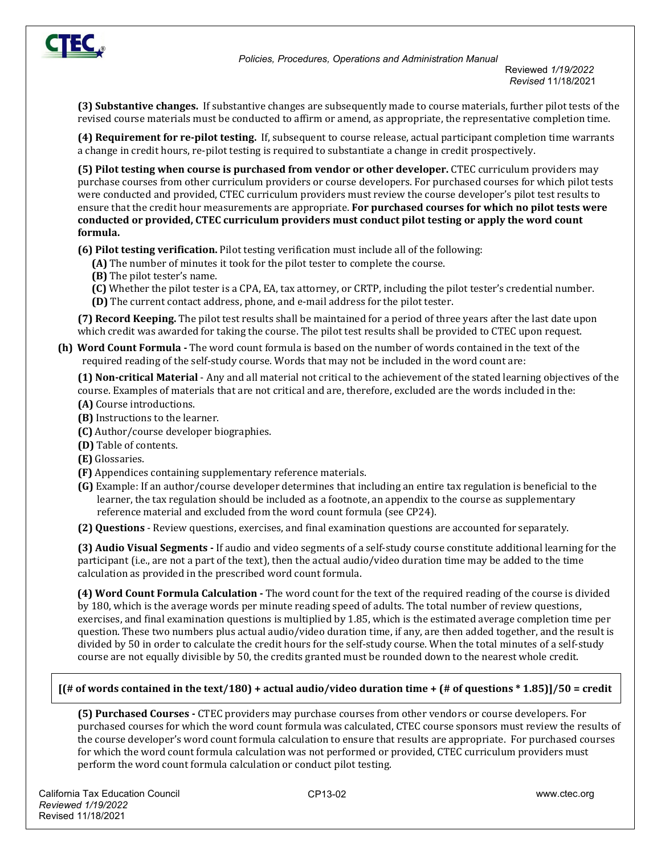

Reviewed *1/19/2022 Revised* 11/18/2021

**(3) Substantive changes.** If substantive changes are subsequently made to course materials, further pilot tests of the revised course materials must be conducted to affirm or amend, as appropriate, the representative completion time.

**(4) Requirement for re-pilot testing.** If, subsequent to course release, actual participant completion time warrants a change in credit hours, re-pilot testing is required to substantiate a change in credit prospectively.

**(5) Pilot testing when course is purchased from vendor or other developer.** CTEC curriculum providers may purchase courses from other curriculum providers or course developers. For purchased courses for which pilot tests were conducted and provided, CTEC curriculum providers must review the course developer's pilot test results to ensure that the credit hour measurements are appropriate. **For purchased courses for which no pilot tests were conducted or provided, CTEC curriculum providers must conduct pilot testing or apply the word count formula.**

**(6) Pilot testing verification.** Pilot testing verification must include all of the following:

- **(A)** The number of minutes it took for the pilot tester to complete the course.
- **(B)** The pilot tester's name.
- **(C)** Whether the pilot tester is a CPA, EA, tax attorney, or CRTP, including the pilot tester's credential number. **(D)** The current contact address, phone, and e-mail address for the pilot tester.

**(7) Record Keeping.** The pilot test results shall be maintained for a period of three years after the last date upon which credit was awarded for taking the course. The pilot test results shall be provided to CTEC upon request.

**(h) Word Count Formula -** The word count formula is based on the number of words contained in the text of the required reading of the self-study course. Words that may not be included in the word count are:

**(1) Non-critical Material** - Any and all material not critical to the achievement of the stated learning objectives of the course. Examples of materials that are not critical and are, therefore, excluded are the words included in the:

- **(A)** Course introductions.
- **(B)** Instructions to the learner.
- **(C)** Author/course developer biographies.
- **(D)** Table of contents.
- **(E)** Glossaries.
- **(F)** Appendices containing supplementary reference materials.
- **(G)** Example: If an author/course developer determines that including an entire tax regulation is beneficial to the learner, the tax regulation should be included as a footnote, an appendix to the course as supplementary reference material and excluded from the word count formula (see CP24).

**(2) Questions** - Review questions, exercises, and final examination questions are accounted for separately.

**(3) Audio Visual Segments -** If audio and video segments of a self-study course constitute additional learning for the participant (i.e., are not a part of the text), then the actual audio/video duration time may be added to the time calculation as provided in the prescribed word count formula.

 **(4) Word Count Formula Calculation -** The word count for the text of the required reading of the course is divided by 180, which is the average words per minute reading speed of adults. The total number of review questions, exercises, and final examination questions is multiplied by 1.85, which is the estimated average completion time per question. These two numbers plus actual audio/video duration time, if any, are then added together, and the result is divided by 50 in order to calculate the credit hours for the self-study course. When the total minutes of a self-study course are not equally divisible by 50, the credits granted must be rounded down to the nearest whole credit.

#### **[(# of words contained in the text/180) + actual audio/video duration time + (# of questions \* 1.85)]/50 = credit**

**(5) Purchased Courses -** CTEC providers may purchase courses from other vendors or course developers. For purchased courses for which the word count formula was calculated, CTEC course sponsors must review the results of the course developer's word count formula calculation to ensure that results are appropriate. For purchased courses for which the word count formula calculation was not performed or provided, CTEC curriculum providers must perform the word count formula calculation or conduct pilot testing.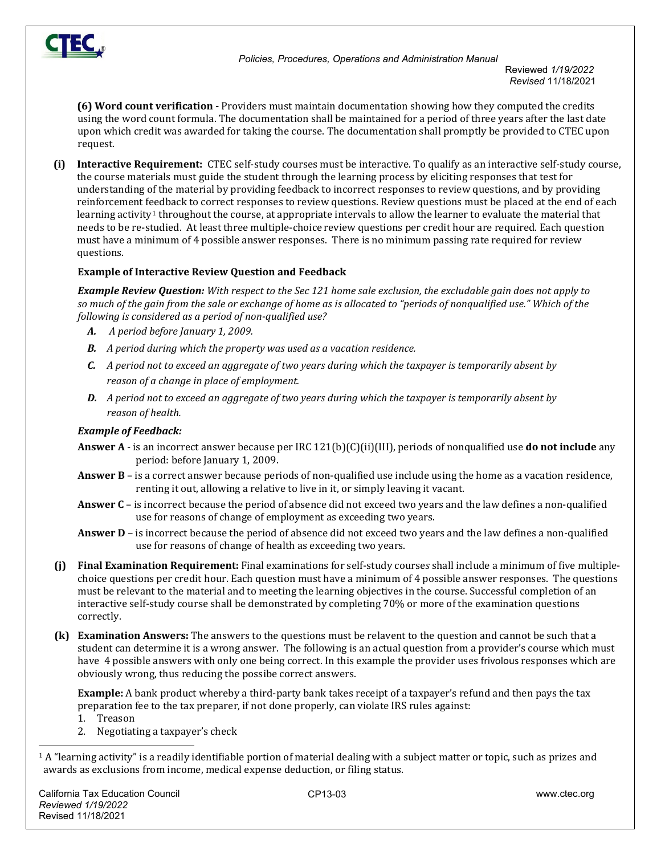

 Reviewed *1/19/2022 Revised* 11/18/2021

**(6) Word count verification -** Providers must maintain documentation showing how they computed the credits using the word count formula. The documentation shall be maintained for a period of three years after the last date upon which credit was awarded for taking the course. The documentation shall promptly be provided to CTEC upon request.

**(i) Interactive Requirement:** CTEC self-study courses must be interactive. To qualify as an interactive self-study course, the course materials must guide the student through the learning process by eliciting responses that test for understanding of the material by providing feedback to incorrect responses to review questions, and by providing reinforcement feedback to correct responses to review questions. Review questions must be placed at the end of each learning activity<sup>[1](#page-2-0)</sup> throughout the course, at appropriate intervals to allow the learner to evaluate the material that needs to be re-studied. At least three multiple-choice review questions per credit hour are required. Each question must have a minimum of 4 possible answer responses. There is no minimum passing rate required for review questions.

## **Example of Interactive Review Question and Feedback**

*Example Review Question: With respect to the Sec 121 home sale exclusion, the excludable gain does not apply to so much of the gain from the sale or exchange of home as is allocated to "periods of nonqualified use." Which of the following is considered as a period of non-qualified use?*

- *A. A period before January 1, 2009.*
- *B. A period during which the property was used as a vacation residence.*
- *C. A period not to exceed an aggregate of two years during which the taxpayer is temporarily absent by reason of a change in place of employment.*
- *D. A period not to exceed an aggregate of two years during which the taxpayer is temporarily absent by reason of health.*

### *Example of Feedback:*

- **Answer A** is an incorrect answer because per IRC 121(b)(C)(ii)(III), periods of nonqualified use **do not include** any period: before January 1, 2009.
- **Answer B** is a correct answer because periods of non-qualified use include using the home as a vacation residence, renting it out, allowing a relative to live in it, or simply leaving it vacant.
- **Answer C** is incorrect because the period of absence did not exceed two years and the law defines a non-qualified use for reasons of change of employment as exceeding two years.
- **Answer D** is incorrect because the period of absence did not exceed two years and the law defines a non-qualified use for reasons of change of health as exceeding two years.
- **(j) Final Examination Requirement:** Final examinations for self-study course*s* shall include a minimum of five multiplechoice questions per credit hour. Each question must have a minimum of 4 possible answer responses. The questions must be relevant to the material and to meeting the learning objectives in the course. Successful completion of an interactive self-study course shall be demonstrated by completing 70% or more of the examination questions correctly.
- **(k) Examination Answers:** The answers to the questions must be relavent to the question and cannot be such that a student can determine it is a wrong answer. The following is an actual question from a provider's course which must have 4 possible answers with only one being correct. In this example the provider uses frivolous responses which are obviously wrong, thus reducing the possibe correct answers.

**Example:** A bank product whereby a third-party bank takes receipt of a taxpayer's refund and then pays the tax preparation fee to the tax preparer, if not done properly, can violate IRS rules against:

- 1. Treason
- 2. Negotiating a taxpayer's check

<span id="page-2-0"></span><sup>1</sup> A "learning activity" is a readily identifiable portion of material dealing with a subject matter or topic, such as prizes and awards as exclusions from income, medical expense deduction, or filing status.